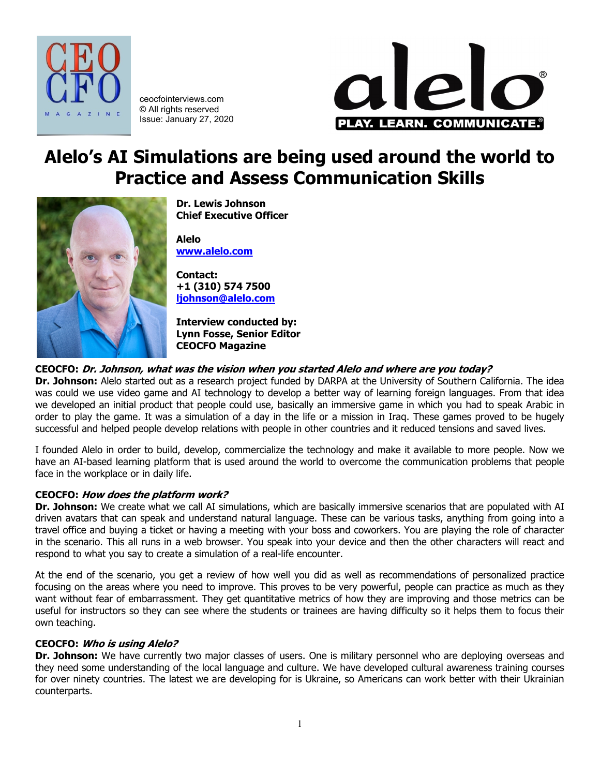

ceocfointerviews.com © All rights reserved Issue: January 27, 2020



# **Alelo's AI Simulations are being used around the world to Practice and Assess Communication Skills**



**Dr. Lewis Johnson Chief Executive Officer**

**Alelo [www.alelo.com](http://www.alelo.com/)**

**Contact: +1 (310) 574 7500 [ljohnson@alelo.com](mailto:ljohnson@alelo.com)**

**Interview conducted by: Lynn Fosse, Senior Editor CEOCFO Magazine**

## **CEOCFO: Dr. Johnson, what was the vision when you started Alelo and where are you today?**

**Dr. Johnson:** Alelo started out as a research project funded by DARPA at the University of Southern California. The idea was could we use video game and AI technology to develop a better way of learning foreign languages. From that idea we developed an initial product that people could use, basically an immersive game in which you had to speak Arabic in order to play the game. It was a simulation of a day in the life or a mission in Iraq. These games proved to be hugely successful and helped people develop relations with people in other countries and it reduced tensions and saved lives.

I founded Alelo in order to build, develop, commercialize the technology and make it available to more people. Now we have an AI-based learning platform that is used around the world to overcome the communication problems that people face in the workplace or in daily life.

## **CEOCFO: How does the platform work?**

**Dr. Johnson:** We create what we call AI simulations, which are basically immersive scenarios that are populated with AI driven avatars that can speak and understand natural language. These can be various tasks, anything from going into a travel office and buying a ticket or having a meeting with your boss and coworkers. You are playing the role of character in the scenario. This all runs in a web browser. You speak into your device and then the other characters will react and respond to what you say to create a simulation of a real-life encounter.

At the end of the scenario, you get a review of how well you did as well as recommendations of personalized practice focusing on the areas where you need to improve. This proves to be very powerful, people can practice as much as they want without fear of embarrassment. They get quantitative metrics of how they are improving and those metrics can be useful for instructors so they can see where the students or trainees are having difficulty so it helps them to focus their own teaching.

## **CEOCFO: Who is using Alelo?**

**Dr. Johnson:** We have currently two major classes of users. One is military personnel who are deploying overseas and they need some understanding of the local language and culture. We have developed cultural awareness training courses for over ninety countries. The latest we are developing for is Ukraine, so Americans can work better with their Ukrainian counterparts.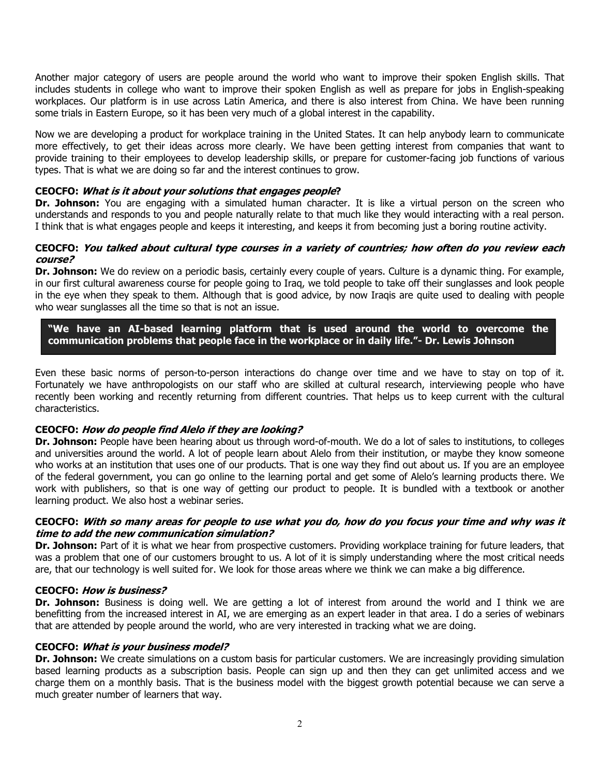Another major category of users are people around the world who want to improve their spoken English skills. That includes students in college who want to improve their spoken English as well as prepare for jobs in English-speaking workplaces. Our platform is in use across Latin America, and there is also interest from China. We have been running some trials in Eastern Europe, so it has been very much of a global interest in the capability.

Now we are developing a product for workplace training in the United States. It can help anybody learn to communicate more effectively, to get their ideas across more clearly. We have been getting interest from companies that want to provide training to their employees to develop leadership skills, or prepare for customer-facing job functions of various types. That is what we are doing so far and the interest continues to grow.

## **CEOCFO: What is it about your solutions that engages people?**

**Dr. Johnson:** You are engaging with a simulated human character. It is like a virtual person on the screen who understands and responds to you and people naturally relate to that much like they would interacting with a real person. I think that is what engages people and keeps it interesting, and keeps it from becoming just a boring routine activity.

#### **CEOCFO: You talked about cultural type courses in a variety of countries; how often do you review each course?**

**Dr. Johnson:** We do review on a periodic basis, certainly every couple of years. Culture is a dynamic thing. For example, in our first cultural awareness course for people going to Iraq, we told people to take off their sunglasses and look people in the eye when they speak to them. Although that is good advice, by now Iraqis are quite used to dealing with people who wear sunglasses all the time so that is not an issue.

**"We have an AI-based learning platform that is used around the world to overcome the communication problems that people face in the workplace or in daily life."- Dr. Lewis Johnson**

Even these basic norms of person-to-person interactions do change over time and we have to stay on top of it. Fortunately we have anthropologists on our staff who are skilled at cultural research, interviewing people who have recently been working and recently returning from different countries. That helps us to keep current with the cultural characteristics.

## **CEOCFO: How do people find Alelo if they are looking?**

**Dr. Johnson:** People have been hearing about us through word-of-mouth. We do a lot of sales to institutions, to colleges and universities around the world. A lot of people learn about Alelo from their institution, or maybe they know someone who works at an institution that uses one of our products. That is one way they find out about us. If you are an employee of the federal government, you can go online to the learning portal and get some of Alelo's learning products there. We work with publishers, so that is one way of getting our product to people. It is bundled with a textbook or another learning product. We also host a webinar series.

#### **CEOCFO: With so many areas for people to use what you do, how do you focus your time and why was it time to add the new communication simulation?**

**Dr. Johnson:** Part of it is what we hear from prospective customers. Providing workplace training for future leaders, that was a problem that one of our customers brought to us. A lot of it is simply understanding where the most critical needs are, that our technology is well suited for. We look for those areas where we think we can make a big difference.

## **CEOCFO: How is business?**

**Dr. Johnson:** Business is doing well. We are getting a lot of interest from around the world and I think we are benefitting from the increased interest in AI, we are emerging as an expert leader in that area. I do a series of webinars that are attended by people around the world, who are very interested in tracking what we are doing.

#### **CEOCFO: What is your business model?**

**Dr. Johnson:** We create simulations on a custom basis for particular customers. We are increasingly providing simulation based learning products as a subscription basis. People can sign up and then they can get unlimited access and we charge them on a monthly basis. That is the business model with the biggest growth potential because we can serve a much greater number of learners that way.